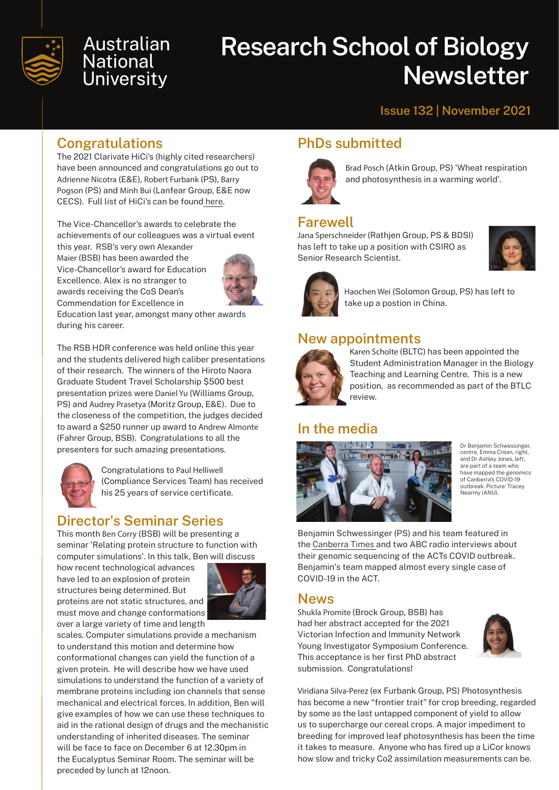

## **Australian National** University

# **Research School of Biology Newsletter**

#### **Issue 132 | November 2021**

## **Congratulations**

The 2021 Clarivate HiCi's (highly cited researchers) have been announced and congratulations go out to Adrienne Nicotra (E&E), Robert Furbank (PS), Barry Pogson (PS) and Minh Bui (Lanfear Group, E&E now CECS). Full list of HiCi's can be found [here](https://recognition.webofscience.com/awards/highly-cited/2021/?utm_source=HCR&utm_medium=recognition_page&utm_campaign=2020).

The Vice-Chancellor's awards to celebrate the achievements of our colleagues was a virtual event

this year. RSB's very own Alexander Maier (BSB) has been awarded the Vice-Chancellor's award for Education Excellence. Alex is no stranger to awards receiving the CoS Dean's Commendation for Excellence in



Education last year, amongst many other awards during his career.

The RSB HDR conference was held online this year and the students delivered high caliber presentations of their research. The winners of the Hiroto Naora Graduate Student Travel Scholarship \$500 best presentation prizes were Daniel Yu (Williams Group, PS) and Audrey Prasetya (Moritz Group, E&E). Due to the closeness of the competition, the judges decided to award a \$250 runner up award to Andrew Almonte (Fahrer Group, BSB). Congratulations to all the presenters for such amazing presentations.



Congratulations to Paul Helliwell (Compliance Services Team) has received his 25 years of service certificate.

## **Director's Seminar Series**

This month Ben Corry (BSB) will be presenting a seminar 'Relating protein structure to function with computer simulations'. In this talk, Ben will discuss

how recent technological advances have led to an explosion of protein structures being determined. But proteins are not static structures, and must move and change conformations over a large variety of time and length



scales. Computer simulations provide a mechanism to understand this motion and determine how conformational changes can yield the function of a given protein. He will describe how we have used simulations to understand the function of a variety of membrane proteins including ion channels that sense mechanical and electrical forces. In addition, Ben will give examples of how we can use these techniques to aid in the rational design of drugs and the mechanistic understanding of inherited diseases. The seminar will be face to face on December 6 at 12.30pm in the Eucalyptus Seminar Room. The seminar will be preceded by lunch at 12noon.

## **PhDs submitted**



Brad Posch (Atkin Group, PS) 'Wheat respiration and photosynthesis in a warming world'.

## **Farewell**

Jana Sperschneider (Rathjen Group, PS & BDSI) has left to take up a position with CSIRO as Senior Research Scientist.





Haochen Wei (Solomon Group, PS) has left to take up a postion in China.

#### **New appointments**



Karen Scholte (BLTC) has been appointed the Student Administration Manager in the Biology Teaching and Learning Centre. This is a new position, as recommended as part of the BTLC review.

## **In the media**



Dr Benjamin Schwessinger, centre, Emma Crean, right, and Dr Ashley Jones, left, are part of a team who have mapped the genomics of Canberra's COVID-19 outbreak. Picture: Tracey Nearmy (ANU).

Benjamin Schwessinger (PS) and his team featured in the [Canberra Times](https://www.canberratimes.com.au/story/7521948/superspreader-party-introduced-new-lineage-of-virus-to-the-act/) and two ABC radio interviews about their genomic sequencing of the ACTs COVID outbreak. Benjamin's team mapped almost every single case of COVID-19 in the ACT.

#### **News**

Shukla Promite (Brock Group, BSB) has had her abstract accepted for the 2021 Victorian Infection and Immunity Network Young Investigator Symposium Conference. This acceptance is her first PhD abstract submission. Congratulations!



Viridiana Silva-Perez (ex Furbank Group, PS) Photosynthesis has become a new "frontier trait" for crop breeding, regarded by some as the last untapped component of yield to allow us to supercharge our cereal crops. A major impediment to breeding for improved leaf photosynthesis has been the time it takes to measure. Anyone who has fired up a LiCor knows how slow and tricky Co2 assimilation measurements can be.